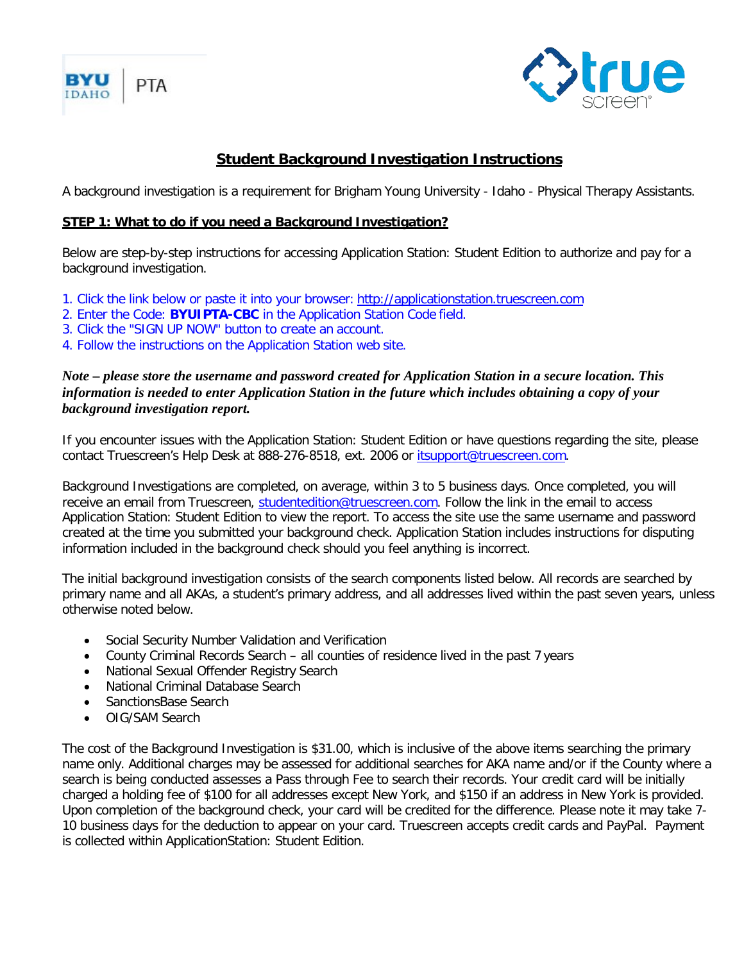



## **Student Background Investigation Instructions**

A background investigation is a requirement for Brigham Young University - Idaho - Physical Therapy Assistants.

## **STEP 1: What to do if you need a Background Investigation?**

Below are step-by-step instructions for accessing Application Station: Student Edition to authorize and pay for a background investigation.

- 1. Click the link below or paste it into your browser: [http://applicationstation.truescreen.com](http://applicationstation.truescreen.com/)
- 2. Enter the Code: **BYUIPTA-CBC** in the Application Station Code field.
- 3. Click the "SIGN UP NOW" button to create an account.
- 4. Follow the instructions on the Application Station web site.

## *Note – please store the username and password created for Application Station in a secure location. This information is needed to enter Application Station in the future which includes obtaining a copy of your background investigation report.*

If you encounter issues with the Application Station: Student Edition or have questions regarding the site, please contact Truescreen's Help Desk at 888-276-8518, ext. 2006 or [itsupport@truescreen.com.](mailto:itsupport@truescreen.com)

Background Investigations are completed, on average, within 3 to 5 business days. Once completed, you will receive an email from Truescreen, [studentedition@truescreen.com.](mailto:studentedition@truescreen.com) Follow the link in the email to access Application Station: Student Edition to view the report. To access the site use the same username and password created at the time you submitted your background check. Application Station includes instructions for disputing information included in the background check should you feel anything is incorrect.

The initial background investigation consists of the search components listed below. All records are searched by primary name and all AKAs, a student's primary address, and all addresses lived within the past seven years, unless otherwise noted below.

- Social Security Number Validation and Verification
- County Criminal Records Search all counties of residence lived in the past 7 years
- National Sexual Offender Registry Search
- National Criminal Database Search
- SanctionsBase Search
- OIG/SAM Search

The cost of the Background Investigation is \$31.00, which is inclusive of the above items searching the primary name only. Additional charges may be assessed for additional searches for AKA name and/or if the County where a search is being conducted assesses a Pass through Fee to search their records. Your credit card will be initially charged a holding fee of \$100 for all addresses except New York, and \$150 if an address in New York is provided. Upon completion of the background check, your card will be credited for the difference. Please note it may take 7- 10 business days for the deduction to appear on your card. Truescreen accepts credit cards and PayPal. Payment is collected within ApplicationStation: Student Edition.